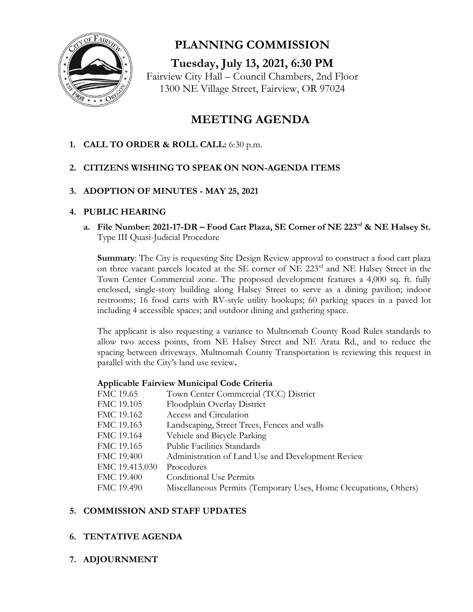

**PLANNING COMMISSION** 

**Tuesday, July 13, 2021, 6:30 PM** Fairview City Hall – Council Chambers, 2nd Floor 1300 NE Village Street, Fairview, OR 97024

# **MEETING AGENDA**

**1. CALL TO ORDER & ROLL CALL:** 6:30 p.m.

## **2. CITIZENS WISHING TO SPEAK ON NON-AGENDA ITEMS**

## **3. ADOPTION OF MINUTES - MAY 25, 2021**

### **4. PUBLIC HEARING**

**a. File Number: 2021-17-DR – Food Cart Plaza, SE Corner of NE 223rd & NE Halsey St.** Type III Quasi-Judicial Procedure

**Summary**: The City is requesting Site Design Review approval to construct a food cart plaza on three vacant parcels located at the SE corner of NE 223<sup>rd</sup> and NE Halsey Street in the Town Center Commercial zone. The proposed development features a 4,000 sq. ft. fully enclosed, single-story building along Halsey Street to serve as a dining pavilion; indoor restrooms; 16 food carts with RV-style utility hookups; 60 parking spaces in a paved lot including 4 accessible spaces; and outdoor dining and gathering space.

The applicant is also requesting a variance to Multnomah County Road Rules standards to allow two access points, from NE Halsey Street and NE Arata Rd., and to reduce the spacing between driveways. Multnomah County Transportation is reviewing this request in parallel with the City's land use review**.** 

#### **Applicable Fairview Municipal Code Criteria**

| FMC 19.65      | Town Center Commercial (TCC) District                            |
|----------------|------------------------------------------------------------------|
| FMC 19.105     | Floodplain Overlay District                                      |
| FMC 19.162     | Access and Circulation                                           |
| FMC 19.163     | Landscaping, Street Trees, Fences and walls                      |
| FMC 19.164     | Vehicle and Bicycle Parking                                      |
| FMC 19.165     | <b>Public Facilities Standards</b>                               |
| FMC 19.400     | Administration of Land Use and Development Review                |
| FMC 19.413.030 | Procedures                                                       |
| FMC 19.400     | <b>Conditional Use Permits</b>                                   |
| FMC 19.490     | Miscellaneous Permits (Temporary Uses, Home Occupations, Others) |

## **5. COMMISSION AND STAFF UPDATES**

## **6. TENTATIVE AGENDA**

**7. ADJOURNMENT**